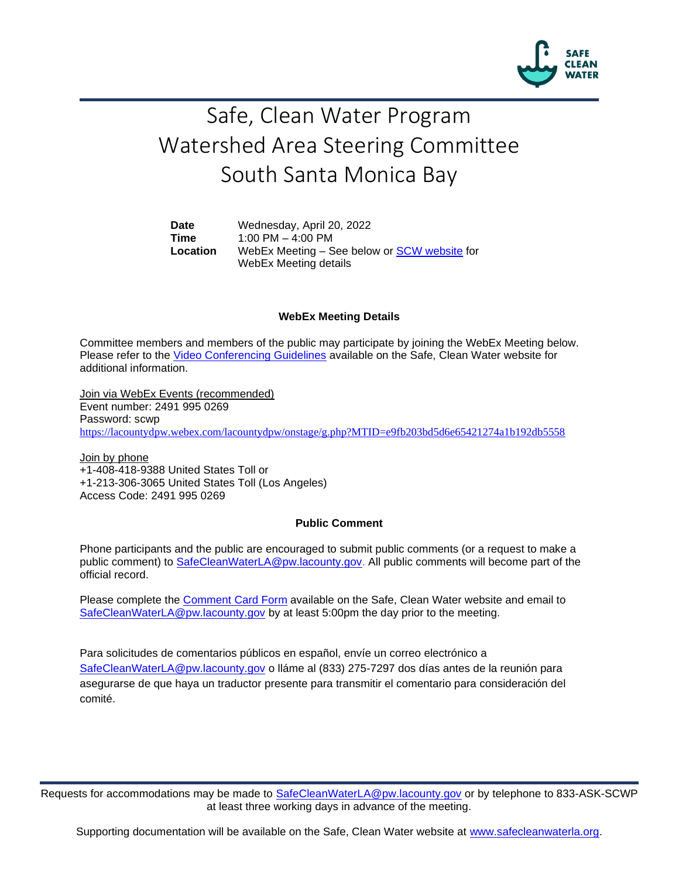

# Safe, Clean Water Program Watershed Area Steering Committee South Santa Monica Bay

**Date** Wednesday, April 20, 2022 **Time** 1:00 PM – 4:00 PM **Location** WebEx Meeting – See below or [SCW website](https://safecleanwaterla.org/south-santa-monica-bay-watershed-area/) for WebEx Meeting details

#### **WebEx Meeting Details**

Committee members and members of the public may participate by joining the WebEx Meeting below. Please refer to the [Video Conferencing Guidelines](https://safecleanwaterla.org/video-conference-guidelines/) available on the Safe, Clean Water website for additional information.

Join via WebEx Events (recommended) Event number: 2491 995 0269 Password: scwp <https://lacountydpw.webex.com/lacountydpw/onstage/g.php?MTID=e9fb203bd5d6e65421274a1b192db5558>

Join by phone +1-408-418-9388 United States Toll or +1-213-306-3065 United States Toll (Los Angeles) Access Code: 2491 995 0269

#### **Public Comment**

Phone participants and the public are encouraged to submit public comments (or a request to make a public comment) to [SafeCleanWaterLA@pw.lacounty.gov.](mailto:SafeCleanWaterLA@pw.lacounty.gov) All public comments will become part of the official record.

Please complete the Comment [Card Form](https://safecleanwaterla.org/wp-content/uploads/2020/04/Comment-Card-Form.pdf) available on the Safe, Clean Water website and email to [SafeCleanWaterLA@pw.lacounty.gov](mailto:SafeCleanWaterLA@pw.lacounty.gov) by at least 5:00pm the day prior to the meeting.

Para solicitudes de comentarios públicos en español, envíe un correo electrónico a [SafeCleanWaterLA@pw.lacounty.gov](mailto:SafeCleanWaterLA@pw.lacounty.gov) o lláme al (833) 275-7297 dos días antes de la reunión para asegurarse de que haya un traductor presente para transmitir el comentario para consideración del comité.

Requests for accommodations may be made to [SafeCleanWaterLA@pw.lacounty.gov](mailto:SafeCleanWaterLA@pw.lacounty.gov) or by telephone to 833-ASK-SCWP at least three working days in advance of the meeting.

Supporting documentation will be available on the Safe, Clean Water website at [www.safecleanwaterla.org.](http://www.safecleanwaterla.org/)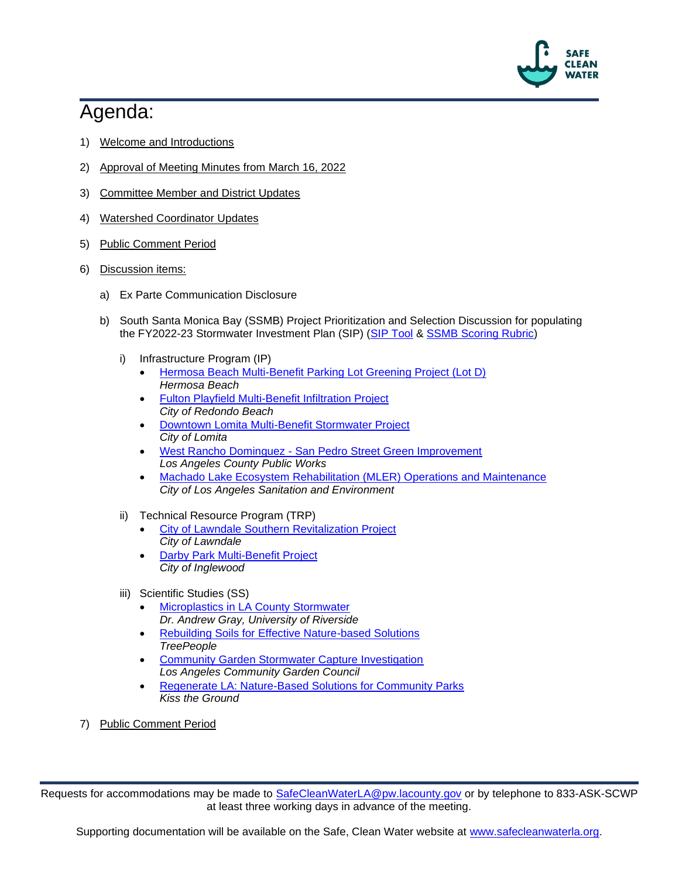

## Agenda:

- 1) Welcome and Introductions
- 2) Approval of Meeting Minutes from March 16, 2022
- 3) Committee Member and District Updates
- 4) Watershed Coordinator Updates
- 5) Public Comment Period
- 6) Discussion items:
	- a) Ex Parte Communication Disclosure
	- b) South Santa Monica Bay (SSMB) Project Prioritization and Selection Discussion for populating the FY2022-23 Stormwater Investment Plan (SIP) [\(SIP Tool](https://portal.safecleanwaterla.org/sip-tool/) & [SSMB Scoring Rubric\)](https://safecleanwaterla.org/wp-content/uploads/2022/02/SSMB-Scoring-Rubric-FY22-23.pdf)
		- i) Infrastructure Program (IP)
			- [Hermosa Beach Multi-Benefit Parking Lot Greening Project \(Lot D\)](https://portal.safecleanwaterla.org/projects-module-api/api/reportdownload/pdf/13/251) *Hermosa Beach*
			- [Fulton Playfield Multi-Benefit Infiltration Project](https://portal.safecleanwaterla.org/projects-module-api/api/reportdownload/pdf/13/258) *City of Redondo Beach*
			- [Downtown Lomita Multi-Benefit Stormwater Project](https://portal.safecleanwaterla.org/projects-module-api/api/reportdownload/pdf/13/260) *City of Lomita*
			- West Rancho Dominguez [San Pedro Street Green Improvement](https://portal.safecleanwaterla.org/projects-module-api/api/reportdownload/pdf/13/259) *Los Angeles County Public Works*
			- [Machado Lake Ecosystem Rehabilitation \(MLER\) Operations and Maintenance](https://portal.safecleanwaterla.org/projects-module-api/api/reportdownload/pdf/13/269) *City of Los Angeles Sanitation and Environment*
		- ii) Technical Resource Program (TRP)
			- [City of Lawndale Southern Revitalization Project](https://portal.safecleanwaterla.org/projects-module-api/api/reportdownload/pdf/55/64) *City of Lawndale*
			- [Darby Park Multi-Benefit Project](https://portal.safecleanwaterla.org/projects-module-api/api/reportdownload/pdf/55/63) *City of Inglewood*
		- iii) Scientific Studies (SS)
			- [Microplastics in LA County Stormwater](https://portal.safecleanwaterla.org/projects-module-api/api/reportdownload/pdf/21/51) *Dr. Andrew Gray, University of Riverside*
			- [Rebuilding Soils for Effective Nature-based Solutions](https://portal.safecleanwaterla.org/projects-module-api/api/reportdownload/pdf/21/47) *TreePeople*
			- [Community Garden Stormwater Capture Investigation](https://portal.safecleanwaterla.org/projects-module-api/api/reportdownload/pdf/21/52) *Los Angeles Community Garden Council*
			- [Regenerate LA: Nature-Based Solutions for Community Parks](https://portal.safecleanwaterla.org/projects-module-api/api/reportdownload/pdf/21/55) *Kiss the Ground*
- 7) Public Comment Period

Requests for accommodations may be made to [SafeCleanWaterLA@pw.lacounty.gov](mailto:SafeCleanWaterLA@pw.lacounty.gov) or by telephone to 833-ASK-SCWP at least three working days in advance of the meeting.